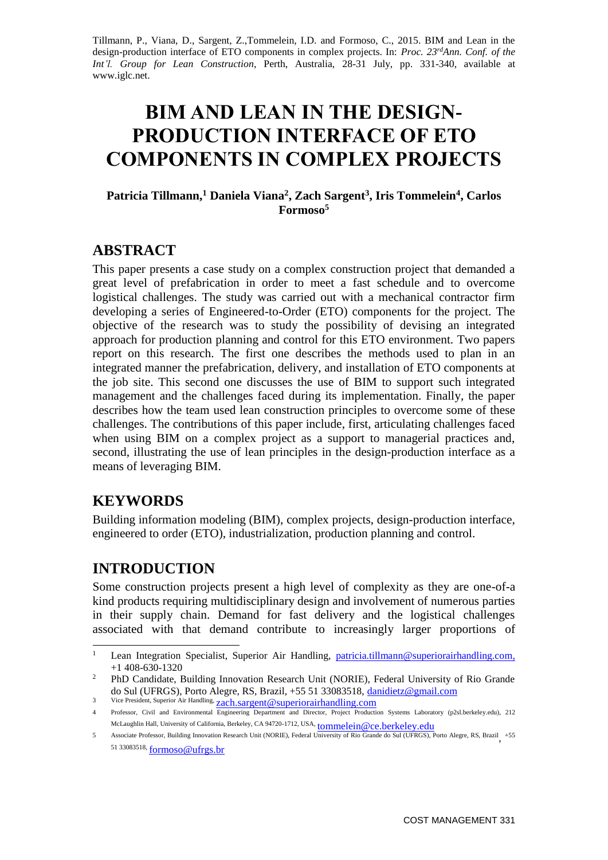Tillmann, P., Viana, D., Sargent, Z.,Tommelein, I.D. and Formoso, C., 2015. BIM and Lean in the design-production interface of ETO components in complex projects. In: *Proc. 23rdAnn. Conf. of the Int'l. Group for Lean Construction*, Perth, Australia, 28-31 July, pp. 331-340, available at www.iglc.net.

# **BIM AND LEAN IN THE DESIGN-PRODUCTION INTERFACE OF ETO COMPONENTS IN COMPLEX PROJECTS**

#### **Patricia Tillmann,<sup>1</sup> Daniela Viana<sup>2</sup> , Zach Sargent<sup>3</sup> , Iris Tommelein<sup>4</sup> , Carlos Formoso<sup>5</sup>**

## **ABSTRACT**

This paper presents a case study on a complex construction project that demanded a great level of prefabrication in order to meet a fast schedule and to overcome logistical challenges. The study was carried out with a mechanical contractor firm developing a series of Engineered-to-Order (ETO) components for the project. The objective of the research was to study the possibility of devising an integrated approach for production planning and control for this ETO environment. Two papers report on this research. The first one describes the methods used to plan in an integrated manner the prefabrication, delivery, and installation of ETO components at the job site. This second one discusses the use of BIM to support such integrated management and the challenges faced during its implementation. Finally, the paper describes how the team used lean construction principles to overcome some of these challenges. The contributions of this paper include, first, articulating challenges faced when using BIM on a complex project as a support to managerial practices and, second, illustrating the use of lean principles in the design-production interface as a means of leveraging BIM.

## **KEYWORDS**

Building information modeling (BIM), complex projects, design-production interface, engineered to order (ETO), industrialization, production planning and control.

## **INTRODUCTION**

Some construction projects present a high level of complexity as they are one-of-a kind products requiring multidisciplinary design and involvement of numerous parties in their supply chain. Demand for fast delivery and the logistical challenges associated with that demand contribute to increasingly larger proportions of

 $\,1\,$ Lean Integration Specialist, Superior Air Handling, [patricia.tillmann@superiorairhandling.com,](mailto:patricia.tillmann@superiorairhandling.com) +1 408-630-1320

<sup>2</sup> PhD Candidate, Building Innovation Research Unit (NORIE), Federal University of Rio Grande do Sul (UFRGS), Porto Alegre, RS, Brazil, +55 51 33083518, [danidietz@gmail.com](mailto:danidietz@gmail.com)

<sup>3</sup> Vice President, Superior Air Handling, [zach.sargent@superiorairhandling.com](mailto:zach.sargent@superiorairhandling.com)

<sup>4</sup> Professor, Civil and Environmental Engineering Department and Director, Project Production Systems Laboratory (p2sl.berkeley.edu), 212 McLaughlin Hall, University of California, Berkeley, CA 94720-1712, USA, [tommelein@ce.berkeley.edu](mailto:tommelein@ce.berkeley.edu)

<sup>5</sup> Associate Professor, Building Innovation Research Unit (NORIE), Federal University of Rio Grande do Sul (UFRGS), Porto Alegre, RS, Brazil , +55 51 33083518, [formoso@ufrgs.br](mailto:formoso@ufrgs.br)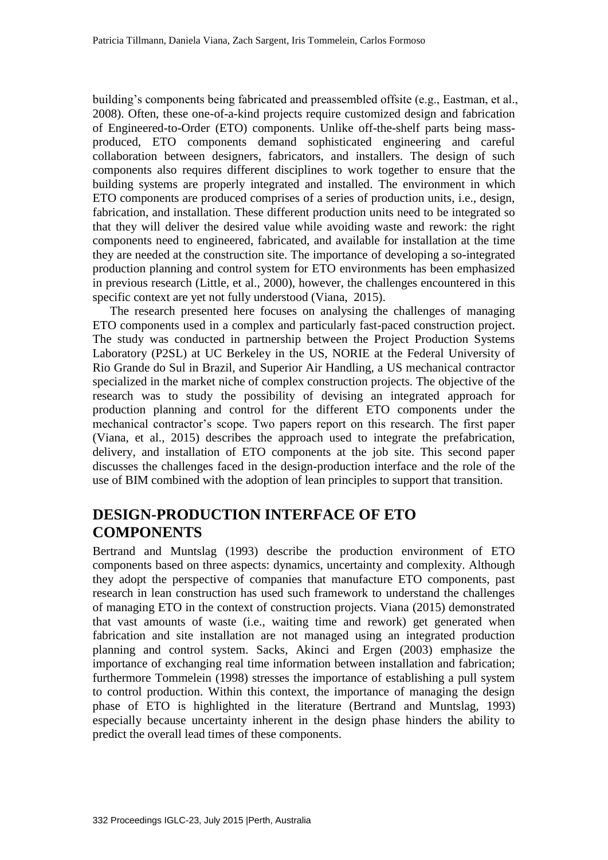building's components being fabricated and preassembled offsite (e.g., Eastman, et al., 2008). Often, these one-of-a-kind projects require customized design and fabrication of Engineered-to-Order (ETO) components. Unlike off-the-shelf parts being massproduced, ETO components demand sophisticated engineering and careful collaboration between designers, fabricators, and installers. The design of such components also requires different disciplines to work together to ensure that the building systems are properly integrated and installed. The environment in which ETO components are produced comprises of a series of production units, i.e., design, fabrication, and installation. These different production units need to be integrated so that they will deliver the desired value while avoiding waste and rework: the right components need to engineered, fabricated, and available for installation at the time they are needed at the construction site. The importance of developing a so-integrated production planning and control system for ETO environments has been emphasized in previous research (Little, et al., 2000), however, the challenges encountered in this specific context are yet not fully understood (Viana, 2015).

The research presented here focuses on analysing the challenges of managing ETO components used in a complex and particularly fast-paced construction project. The study was conducted in partnership between the Project Production Systems Laboratory (P2SL) at UC Berkeley in the US, NORIE at the Federal University of Rio Grande do Sul in Brazil, and Superior Air Handling, a US mechanical contractor specialized in the market niche of complex construction projects. The objective of the research was to study the possibility of devising an integrated approach for production planning and control for the different ETO components under the mechanical contractor's scope. Two papers report on this research. The first paper (Viana, et al., 2015) describes the approach used to integrate the prefabrication, delivery, and installation of ETO components at the job site. This second paper discusses the challenges faced in the design-production interface and the role of the use of BIM combined with the adoption of lean principles to support that transition.

### **DESIGN-PRODUCTION INTERFACE OF ETO COMPONENTS**

Bertrand and Muntslag (1993) describe the production environment of ETO components based on three aspects: dynamics, uncertainty and complexity. Although they adopt the perspective of companies that manufacture ETO components, past research in lean construction has used such framework to understand the challenges of managing ETO in the context of construction projects. Viana (2015) demonstrated that vast amounts of waste (i.e., waiting time and rework) get generated when fabrication and site installation are not managed using an integrated production planning and control system. Sacks, Akinci and Ergen (2003) emphasize the importance of exchanging real time information between installation and fabrication; furthermore Tommelein (1998) stresses the importance of establishing a pull system to control production. Within this context, the importance of managing the design phase of ETO is highlighted in the literature (Bertrand and Muntslag, 1993) especially because uncertainty inherent in the design phase hinders the ability to predict the overall lead times of these components.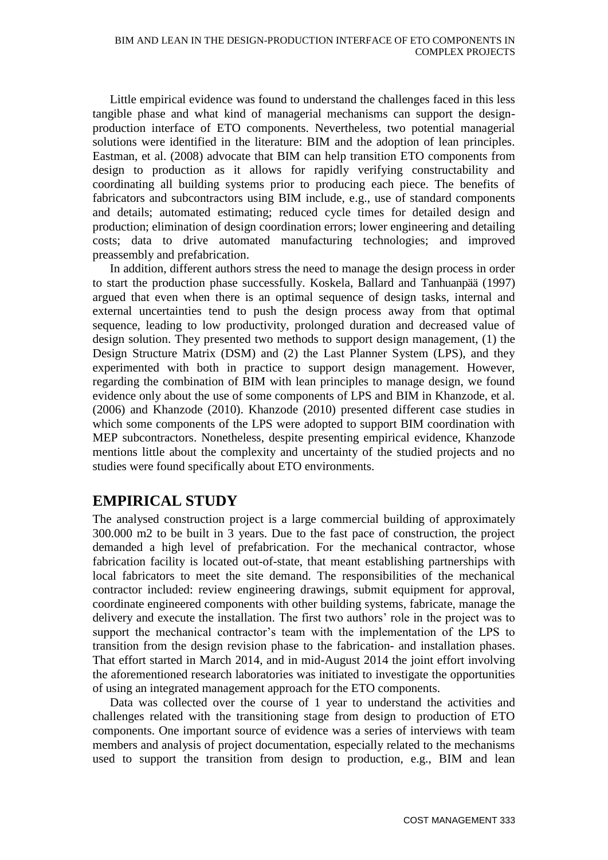Little empirical evidence was found to understand the challenges faced in this less tangible phase and what kind of managerial mechanisms can support the designproduction interface of ETO components. Nevertheless, two potential managerial solutions were identified in the literature: BIM and the adoption of lean principles. Eastman, et al. (2008) advocate that BIM can help transition ETO components from design to production as it allows for rapidly verifying constructability and coordinating all building systems prior to producing each piece. The benefits of fabricators and subcontractors using BIM include, e.g., use of standard components and details; automated estimating; reduced cycle times for detailed design and production; elimination of design coordination errors; lower engineering and detailing costs; data to drive automated manufacturing technologies; and improved preassembly and prefabrication.

In addition, different authors stress the need to manage the design process in order to start the production phase successfully. Koskela, Ballard and Tanhuanpää (1997) argued that even when there is an optimal sequence of design tasks, internal and external uncertainties tend to push the design process away from that optimal sequence, leading to low productivity, prolonged duration and decreased value of design solution. They presented two methods to support design management, (1) the Design Structure Matrix (DSM) and (2) the Last Planner System (LPS), and they experimented with both in practice to support design management. However, regarding the combination of BIM with lean principles to manage design, we found evidence only about the use of some components of LPS and BIM in Khanzode, et al. (2006) and Khanzode (2010). Khanzode (2010) presented different case studies in which some components of the LPS were adopted to support BIM coordination with MEP subcontractors. Nonetheless, despite presenting empirical evidence, Khanzode mentions little about the complexity and uncertainty of the studied projects and no studies were found specifically about ETO environments.

### **EMPIRICAL STUDY**

The analysed construction project is a large commercial building of approximately 300.000 m2 to be built in 3 years. Due to the fast pace of construction, the project demanded a high level of prefabrication. For the mechanical contractor, whose fabrication facility is located out-of-state, that meant establishing partnerships with local fabricators to meet the site demand. The responsibilities of the mechanical contractor included: review engineering drawings, submit equipment for approval, coordinate engineered components with other building systems, fabricate, manage the delivery and execute the installation. The first two authors' role in the project was to support the mechanical contractor's team with the implementation of the LPS to transition from the design revision phase to the fabrication- and installation phases. That effort started in March 2014, and in mid-August 2014 the joint effort involving the aforementioned research laboratories was initiated to investigate the opportunities of using an integrated management approach for the ETO components.

Data was collected over the course of 1 year to understand the activities and challenges related with the transitioning stage from design to production of ETO components. One important source of evidence was a series of interviews with team members and analysis of project documentation, especially related to the mechanisms used to support the transition from design to production, e.g., BIM and lean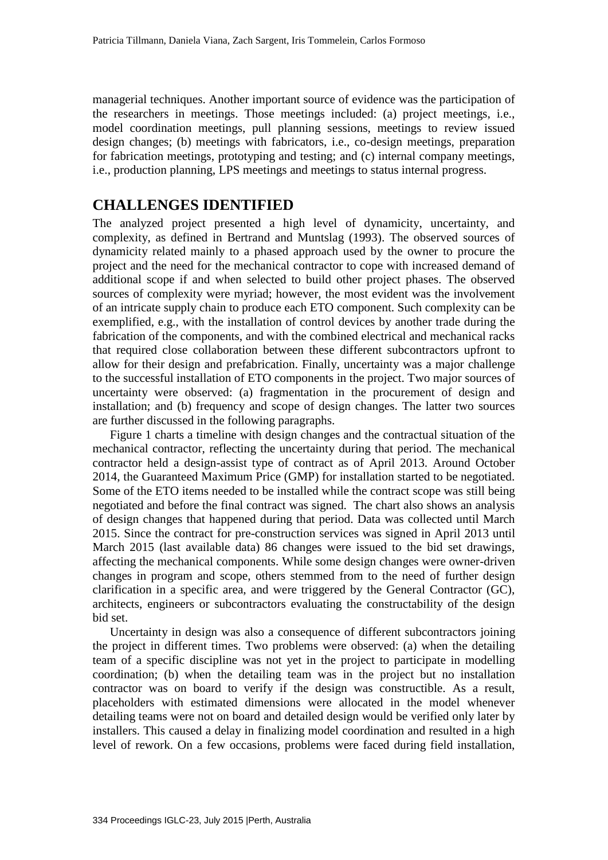managerial techniques. Another important source of evidence was the participation of the researchers in meetings. Those meetings included: (a) project meetings, i.e., model coordination meetings, pull planning sessions, meetings to review issued design changes; (b) meetings with fabricators, i.e., co-design meetings, preparation for fabrication meetings, prototyping and testing; and (c) internal company meetings, i.e., production planning, LPS meetings and meetings to status internal progress.

#### **CHALLENGES IDENTIFIED**

The analyzed project presented a high level of dynamicity, uncertainty, and complexity, as defined in Bertrand and Muntslag (1993). The observed sources of dynamicity related mainly to a phased approach used by the owner to procure the project and the need for the mechanical contractor to cope with increased demand of additional scope if and when selected to build other project phases. The observed sources of complexity were myriad; however, the most evident was the involvement of an intricate supply chain to produce each ETO component. Such complexity can be exemplified, e.g., with the installation of control devices by another trade during the fabrication of the components, and with the combined electrical and mechanical racks that required close collaboration between these different subcontractors upfront to allow for their design and prefabrication. Finally, uncertainty was a major challenge to the successful installation of ETO components in the project. Two major sources of uncertainty were observed: (a) fragmentation in the procurement of design and installation; and (b) frequency and scope of design changes. The latter two sources are further discussed in the following paragraphs.

Figure 1 charts a timeline with design changes and the contractual situation of the mechanical contractor, reflecting the uncertainty during that period. The mechanical contractor held a design-assist type of contract as of April 2013. Around October 2014, the Guaranteed Maximum Price (GMP) for installation started to be negotiated. Some of the ETO items needed to be installed while the contract scope was still being negotiated and before the final contract was signed. The chart also shows an analysis of design changes that happened during that period. Data was collected until March 2015. Since the contract for pre-construction services was signed in April 2013 until March 2015 (last available data) 86 changes were issued to the bid set drawings, affecting the mechanical components. While some design changes were owner-driven changes in program and scope, others stemmed from to the need of further design clarification in a specific area, and were triggered by the General Contractor (GC), architects, engineers or subcontractors evaluating the constructability of the design bid set.

Uncertainty in design was also a consequence of different subcontractors joining the project in different times. Two problems were observed: (a) when the detailing team of a specific discipline was not yet in the project to participate in modelling coordination; (b) when the detailing team was in the project but no installation contractor was on board to verify if the design was constructible. As a result, placeholders with estimated dimensions were allocated in the model whenever detailing teams were not on board and detailed design would be verified only later by installers. This caused a delay in finalizing model coordination and resulted in a high level of rework. On a few occasions, problems were faced during field installation,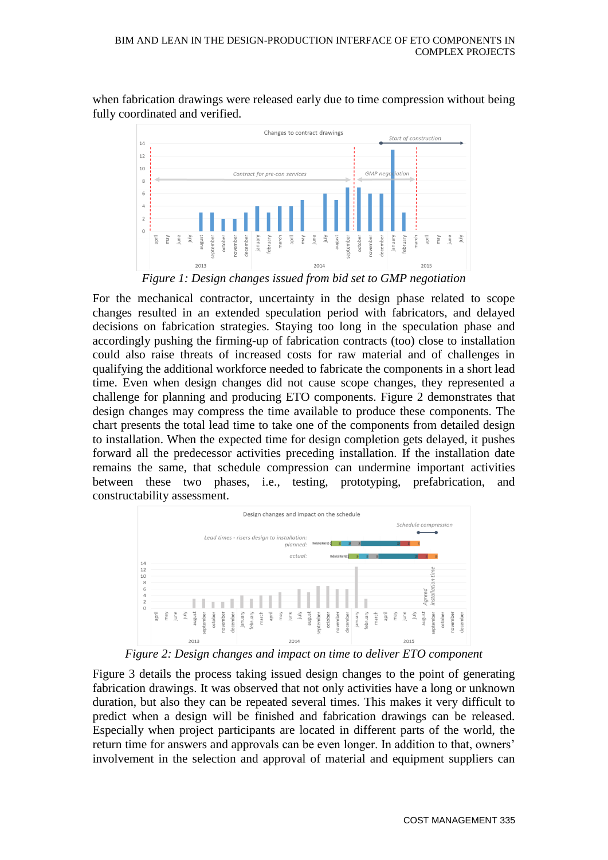when fabrication drawings were released early due to time compression without being fully coordinated and verified.



*Figure 1: Design changes issued from bid set to GMP negotiation*

For the mechanical contractor, uncertainty in the design phase related to scope changes resulted in an extended speculation period with fabricators, and delayed decisions on fabrication strategies. Staying too long in the speculation phase and accordingly pushing the firming-up of fabrication contracts (too) close to installation could also raise threats of increased costs for raw material and of challenges in qualifying the additional workforce needed to fabricate the components in a short lead time. Even when design changes did not cause scope changes, they represented a challenge for planning and producing ETO components. Figure 2 demonstrates that design changes may compress the time available to produce these components. The chart presents the total lead time to take one of the components from detailed design to installation. When the expected time for design completion gets delayed, it pushes forward all the predecessor activities preceding installation. If the installation date remains the same, that schedule compression can undermine important activities between these two phases, i.e., testing, prototyping, prefabrication, and constructability assessment.



*Figure 2: Design changes and impact on time to deliver ETO component*

Figure 3 details the process taking issued design changes to the point of generating fabrication drawings. It was observed that not only activities have a long or unknown duration, but also they can be repeated several times. This makes it very difficult to predict when a design will be finished and fabrication drawings can be released. Especially when project participants are located in different parts of the world, the return time for answers and approvals can be even longer. In addition to that, owners' involvement in the selection and approval of material and equipment suppliers can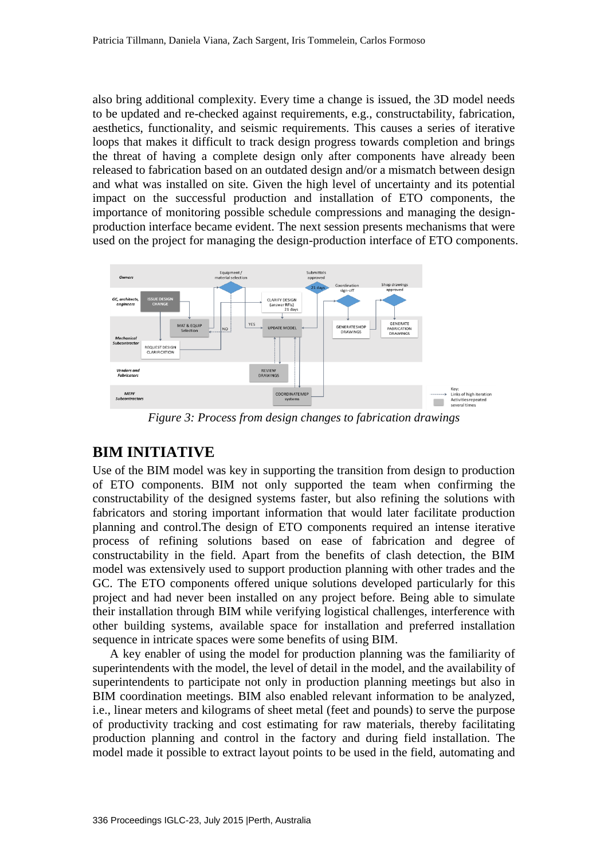also bring additional complexity. Every time a change is issued, the 3D model needs to be updated and re-checked against requirements, e.g., constructability, fabrication, aesthetics, functionality, and seismic requirements. This causes a series of iterative loops that makes it difficult to track design progress towards completion and brings the threat of having a complete design only after components have already been released to fabrication based on an outdated design and/or a mismatch between design and what was installed on site. Given the high level of uncertainty and its potential impact on the successful production and installation of ETO components, the importance of monitoring possible schedule compressions and managing the designproduction interface became evident. The next session presents mechanisms that were used on the project for managing the design-production interface of ETO components.



*Figure 3: Process from design changes to fabrication drawings*

#### **BIM INITIATIVE**

Use of the BIM model was key in supporting the transition from design to production of ETO components. BIM not only supported the team when confirming the constructability of the designed systems faster, but also refining the solutions with fabricators and storing important information that would later facilitate production planning and control.The design of ETO components required an intense iterative process of refining solutions based on ease of fabrication and degree of constructability in the field. Apart from the benefits of clash detection, the BIM model was extensively used to support production planning with other trades and the GC. The ETO components offered unique solutions developed particularly for this project and had never been installed on any project before. Being able to simulate their installation through BIM while verifying logistical challenges, interference with other building systems, available space for installation and preferred installation sequence in intricate spaces were some benefits of using BIM.

A key enabler of using the model for production planning was the familiarity of superintendents with the model, the level of detail in the model, and the availability of superintendents to participate not only in production planning meetings but also in BIM coordination meetings. BIM also enabled relevant information to be analyzed, i.e., linear meters and kilograms of sheet metal (feet and pounds) to serve the purpose of productivity tracking and cost estimating for raw materials, thereby facilitating production planning and control in the factory and during field installation. The model made it possible to extract layout points to be used in the field, automating and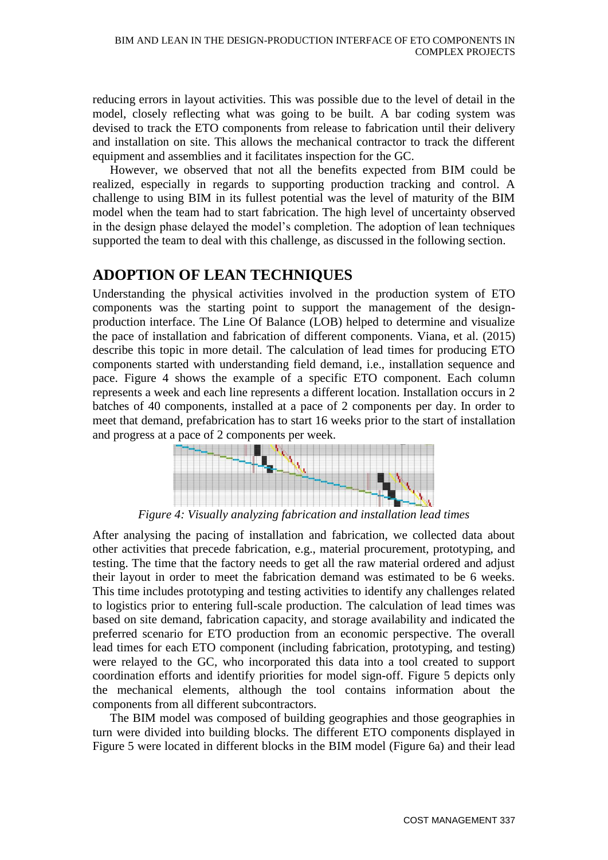reducing errors in layout activities. This was possible due to the level of detail in the model, closely reflecting what was going to be built. A bar coding system was devised to track the ETO components from release to fabrication until their delivery and installation on site. This allows the mechanical contractor to track the different equipment and assemblies and it facilitates inspection for the GC.

However, we observed that not all the benefits expected from BIM could be realized, especially in regards to supporting production tracking and control. A challenge to using BIM in its fullest potential was the level of maturity of the BIM model when the team had to start fabrication. The high level of uncertainty observed in the design phase delayed the model's completion. The adoption of lean techniques supported the team to deal with this challenge, as discussed in the following section.

### **ADOPTION OF LEAN TECHNIQUES**

Understanding the physical activities involved in the production system of ETO components was the starting point to support the management of the designproduction interface. The Line Of Balance (LOB) helped to determine and visualize the pace of installation and fabrication of different components. Viana, et al. (2015) describe this topic in more detail. The calculation of lead times for producing ETO components started with understanding field demand, i.e., installation sequence and pace. Figure 4 shows the example of a specific ETO component. Each column represents a week and each line represents a different location. Installation occurs in 2 batches of 40 components, installed at a pace of 2 components per day. In order to meet that demand, prefabrication has to start 16 weeks prior to the start of installation and progress at a pace of 2 components per week.



*Figure 4: Visually analyzing fabrication and installation lead times*

After analysing the pacing of installation and fabrication, we collected data about other activities that precede fabrication, e.g., material procurement, prototyping, and testing. The time that the factory needs to get all the raw material ordered and adjust their layout in order to meet the fabrication demand was estimated to be 6 weeks. This time includes prototyping and testing activities to identify any challenges related to logistics prior to entering full-scale production. The calculation of lead times was based on site demand, fabrication capacity, and storage availability and indicated the preferred scenario for ETO production from an economic perspective. The overall lead times for each ETO component (including fabrication, prototyping, and testing) were relayed to the GC, who incorporated this data into a tool created to support coordination efforts and identify priorities for model sign-off. Figure 5 depicts only the mechanical elements, although the tool contains information about the components from all different subcontractors.

The BIM model was composed of building geographies and those geographies in turn were divided into building blocks. The different ETO components displayed in Figure 5 were located in different blocks in the BIM model (Figure 6a) and their lead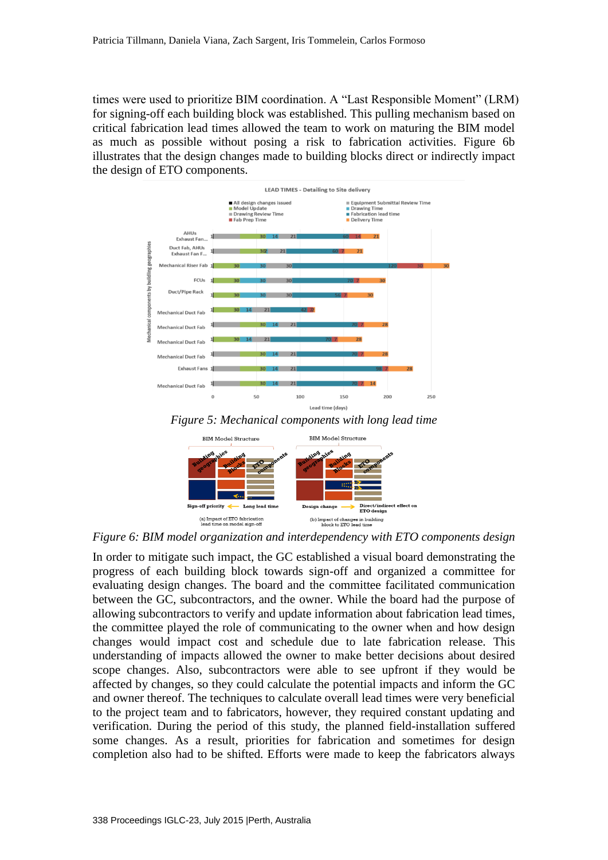times were used to prioritize BIM coordination. A "Last Responsible Moment" (LRM) for signing-off each building block was established. This pulling mechanism based on critical fabrication lead times allowed the team to work on maturing the BIM model as much as possible without posing a risk to fabrication activities. Figure 6b illustrates that the design changes made to building blocks direct or indirectly impact the design of ETO components.







*Figure 6: BIM model organization and interdependency with ETO components design*

In order to mitigate such impact, the GC established a visual board demonstrating the progress of each building block towards sign-off and organized a committee for evaluating design changes. The board and the committee facilitated communication between the GC, subcontractors, and the owner. While the board had the purpose of allowing subcontractors to verify and update information about fabrication lead times, the committee played the role of communicating to the owner when and how design changes would impact cost and schedule due to late fabrication release. This understanding of impacts allowed the owner to make better decisions about desired scope changes. Also, subcontractors were able to see upfront if they would be affected by changes, so they could calculate the potential impacts and inform the GC and owner thereof. The techniques to calculate overall lead times were very beneficial to the project team and to fabricators, however, they required constant updating and verification. During the period of this study, the planned field-installation suffered some changes. As a result, priorities for fabrication and sometimes for design completion also had to be shifted. Efforts were made to keep the fabricators always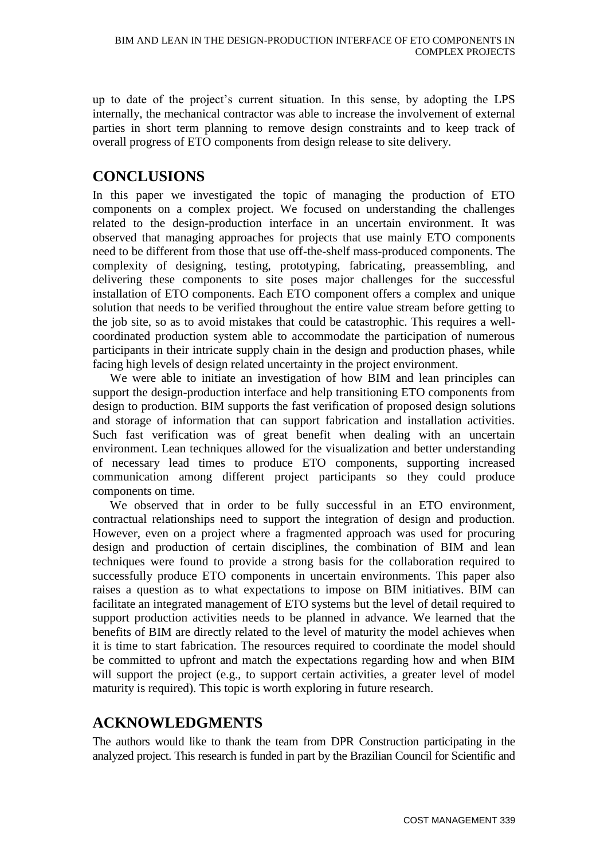up to date of the project's current situation. In this sense, by adopting the LPS internally, the mechanical contractor was able to increase the involvement of external parties in short term planning to remove design constraints and to keep track of overall progress of ETO components from design release to site delivery.

# **CONCLUSIONS**

In this paper we investigated the topic of managing the production of ETO components on a complex project. We focused on understanding the challenges related to the design-production interface in an uncertain environment. It was observed that managing approaches for projects that use mainly ETO components need to be different from those that use off-the-shelf mass-produced components. The complexity of designing, testing, prototyping, fabricating, preassembling, and delivering these components to site poses major challenges for the successful installation of ETO components. Each ETO component offers a complex and unique solution that needs to be verified throughout the entire value stream before getting to the job site, so as to avoid mistakes that could be catastrophic. This requires a wellcoordinated production system able to accommodate the participation of numerous participants in their intricate supply chain in the design and production phases, while facing high levels of design related uncertainty in the project environment.

We were able to initiate an investigation of how BIM and lean principles can support the design-production interface and help transitioning ETO components from design to production. BIM supports the fast verification of proposed design solutions and storage of information that can support fabrication and installation activities. Such fast verification was of great benefit when dealing with an uncertain environment. Lean techniques allowed for the visualization and better understanding of necessary lead times to produce ETO components, supporting increased communication among different project participants so they could produce components on time.

We observed that in order to be fully successful in an ETO environment, contractual relationships need to support the integration of design and production. However, even on a project where a fragmented approach was used for procuring design and production of certain disciplines, the combination of BIM and lean techniques were found to provide a strong basis for the collaboration required to successfully produce ETO components in uncertain environments. This paper also raises a question as to what expectations to impose on BIM initiatives. BIM can facilitate an integrated management of ETO systems but the level of detail required to support production activities needs to be planned in advance. We learned that the benefits of BIM are directly related to the level of maturity the model achieves when it is time to start fabrication. The resources required to coordinate the model should be committed to upfront and match the expectations regarding how and when BIM will support the project (e.g., to support certain activities, a greater level of model maturity is required). This topic is worth exploring in future research.

## **ACKNOWLEDGMENTS**

The authors would like to thank the team from DPR Construction participating in the analyzed project. This research is funded in part by the Brazilian Council for Scientific and